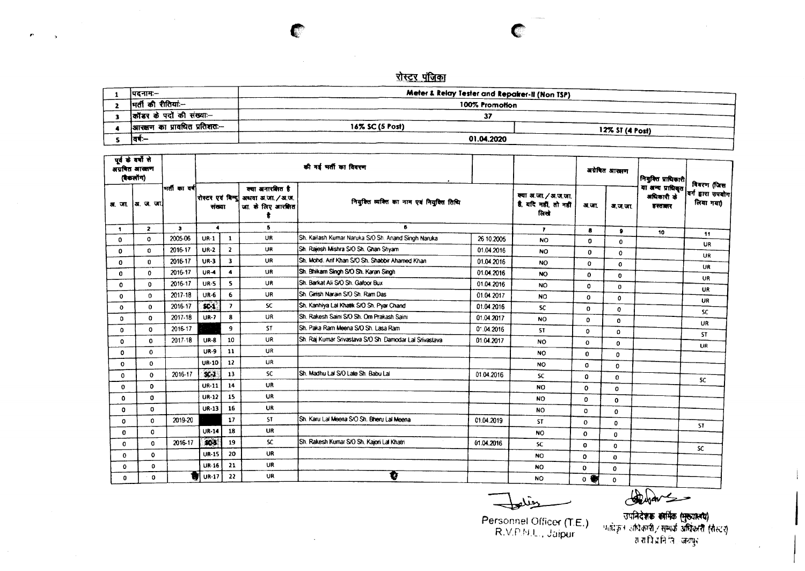$\mathcal{P}^{\mathcal{C}}$  $\sim$ 

Meter & Relay Tester and Repairer-II (Non TSP) पदनामः- $\mathbf{1}$ मर्ती की रीतियां --100% Promotion  $\overline{2}$ कॉडर के पदों की संख्या- $37$  $\overline{\mathbf{3}}$ आरक्षण का प्रावधित प्रतिशत-16% SC (5 Post)  $\blacktriangleleft$ 12% ST (4 Post)  $\overline{d}$ 01.04.2020  $\overline{\phantom{a}}$ 

| पूर्व के वर्षों से<br>अग्रवित आखाण<br>(ইকলাঁশ) |                   |               |                                                   |              |                                     | की गई भर्ती का विवश्ण                                   |            |                                                     | अग्रेषित आरक्षण |              | नियुक्ति प्राधिकारी<br>या अन्य प्राधिकृत<br>अधिकारी के<br>डरतातार | विवरण (जिस<br> वर्ग द्वारा उपयोग <br>लिया गया) |
|------------------------------------------------|-------------------|---------------|---------------------------------------------------|--------------|-------------------------------------|---------------------------------------------------------|------------|-----------------------------------------------------|-----------------|--------------|-------------------------------------------------------------------|------------------------------------------------|
|                                                | अ. जा.  अ. ज. जा. | भर्ती का वर्ष | क्या अनारश्रीत है<br>शिस्टर एवं विन्दू!<br>संख्या |              | अथवा अ.जा./अ.ज.<br>जा. के लिए आरबीत | नियुक्ति व्यक्ति का नाम एवं नियुक्ति तिथि               |            | क्या अ.जा./अ.ज.जा.<br>है, यदि नहीं, तो नहीं<br>रिखे | अ.जा.           | अ.ज.जा.      |                                                                   |                                                |
| $\mathbf{1}$                                   | $\mathbf{z}$      | $\mathbf{3}$  | $\blacktriangleleft$                              |              | 5                                   | 6                                                       |            | $\mathbf{r}$                                        | 8               | $\bullet$    | 10                                                                | 11                                             |
| 0                                              | $\mathbf{0}$      | 2005-06       | $UR-1$                                            | 1            | UR                                  | Sh. Kailash Kumar Naruka S/O Sh. Anand Singh Naruka     | 26 10.2005 | <b>NO</b>                                           | $\Omega$        | 0            |                                                                   | <b>UR</b>                                      |
| $\Omega$                                       | 0                 | 2016-17       | $UR-2$                                            | $\mathbf{2}$ | UR                                  | Sh. Rajesh Mishra S/O Sh. Ghan Shyam                    | 01.04.2016 | <b>NO</b>                                           | $\bf{0}$        | $\mathbf{o}$ |                                                                   | <b>UR</b>                                      |
| 0                                              | $\mathbf{0}$      | 2016-17       | $UR-3$                                            | 3            | UR                                  | Sh. Mohd. Arif Khan S/O Sh. Shabbir Ahamed Khan         | 01.04.2016 | NO.                                                 | $\Omega$        | $\bf{0}$     |                                                                   | <b>UR</b>                                      |
| 0                                              | $\Omega$          | 2016-17       | $UR-4$                                            | 4            | UR                                  | Sh. Bhikam Singh S/O Sh. Karan Singh                    | 01.04.2016 | <b>NO</b>                                           | $\Omega$        | 0            |                                                                   | <b>UR</b>                                      |
| $\mathbf{o}$                                   | $\mathbf{0}$      | 2016-17       | <b>UR-5</b>                                       | S.           | UR                                  | Sh. Barkat Ali S/O Sh. Gafoor Bux                       | 01.04.2016 | <b>NO</b>                                           | 0               | $\mathbf 0$  |                                                                   | UR                                             |
| $\Omega$                                       | $\mathbf{0}$      | 2017-18       | <b>UR-6</b>                                       | 6            | UR                                  | Sh. Girish Narain S/O Sh. Ram Das                       | 01.04.2017 | NO.                                                 | 0               | 0            |                                                                   | UR                                             |
| 0                                              | $\mathbf{0}$      | 2016-17       | SC-1                                              | 7.           | <b>SC</b>                           | Sh. Kanhiya Lal Khatik S/O Sh. Pyar Chand               | 01.04.2016 | <b>SC</b>                                           | $\mathbf 0$     | $\mathbf{0}$ |                                                                   | <b>SC</b>                                      |
| 0                                              | $\mathbf{0}$      | 2017-18       | $UR-7$                                            | 8            | <b>UR</b>                           | Sh. Rakesh Saini S/O Sh. Om Prakash Saini               | 01.04.2017 | NO.                                                 | 0               | $\mathbf{o}$ |                                                                   | UR                                             |
| 0                                              | 0                 | 2016-17       |                                                   | 9            | <b>ST</b>                           | Sh. Paka Ram Meena S/O Sh. Lasa Ram                     | 0.04.2016  | <b>ST</b>                                           | $\mathbf{O}$    | 0            |                                                                   | <b>ST</b>                                      |
| 0                                              | 0                 | 2017-18       | $UR-8$                                            | 10           | <b>UR</b>                           | Sh. Raj Kumar Srivastava S/O Sh. Damodar Lal Srivastava | 01.04.2017 | <b>NO</b>                                           | $\Omega$        | $\mathbf 0$  |                                                                   | <b>UR</b>                                      |
| 0                                              | $\mathbf{o}$      |               | $UR-9$                                            | 11           | UR                                  |                                                         |            | <b>NO</b>                                           | $\mathbf{0}$    | 0            |                                                                   |                                                |
| 0                                              | $\circ$           |               | <b>UR-10</b>                                      | 12           | <b>UR</b>                           |                                                         |            | NO.                                                 | $\mathbf 0$     | $\mathbf 0$  |                                                                   |                                                |
| 0                                              | $\mathbf 0$       | 2016-17       | $36 - 2$                                          | 13           | <b>SC</b>                           | Sh. Madhu Lal S/O Late Sh. Babu Lal                     | 01.04.2016 | SC                                                  | 0               | $\mathbf{0}$ |                                                                   | <b>SC</b>                                      |
| 0                                              | $\mathbf{0}$      |               | UR-11                                             | 14           | <b>UR</b>                           |                                                         |            | <b>NO</b>                                           | $\mathbf 0$     | 0            |                                                                   |                                                |
| 0                                              | $\Omega$          |               | <b>UR-12</b>                                      | 15           | <b>UR</b>                           |                                                         |            | <b>NO</b>                                           | $\Omega$        | $\mathbf{0}$ |                                                                   |                                                |
| 0                                              | $\mathbf{o}$      |               | UR-13                                             | 16           | <b>UR</b>                           |                                                         |            | <b>NO</b>                                           | $\circ$         | 0            |                                                                   |                                                |
| 0                                              | $\mathbf 0$       | 2019-20       |                                                   | 17           | <b>ST</b>                           | Sh. Karu Lal Meena S/O Sh. Bheru Lal Meena              | 01.04.2019 | <b>ST</b>                                           | $\mathbf{o}$    | 0            |                                                                   | <b>ST</b>                                      |
| 0                                              | 0                 |               | <b>UR-14</b>                                      | 18           | <b>UR</b>                           |                                                         |            | <b>NO</b>                                           | $\mathbf 0$     | 0            |                                                                   |                                                |
| $\mathbf{0}$                                   | o                 | 2016-17       | 503.                                              | 19           | <b>SC</b>                           | Sh. Rakesh Kumar S/O Sh. Kajori Lal Khatri              | 01.04.2016 | <b>SC</b>                                           | $\mathbf{0}$    | 0            |                                                                   | SC.                                            |
| $\mathbf 0$                                    | $\mathbf 0$       |               | <b>UR-15</b>                                      | 20           | UR                                  |                                                         |            | <b>NO</b>                                           | 0               | $\bf{0}$     |                                                                   |                                                |
| $\bullet$                                      | $\Omega$          |               | <b>UR-16</b>                                      | 21           | UR                                  |                                                         |            | <b>NO</b>                                           | $\mathbf{O}$    | 0            |                                                                   |                                                |
| $\bf{0}$                                       | $\mathbf{o}$      | ₩             | $UR-17$                                           | 22           | UR                                  | Ð                                                       |            | NO.                                                 | $0 \oplus$      | $\Omega$     |                                                                   |                                                |

حفلعط

 $\bigoplus_{\alpha\in\mathbb{N}}\{x\}$ 

Personnel Officer (T.E.)<br>R.V.P.N.L., Jaipur

्<br>उपनिदेशक कार्मिक (मुख्यात्वयं)<br>- राधिकारी/सम्पर्क अधिकारी (सेस्टर्)<br>- राधिज्ञनि जिल्लायपुर